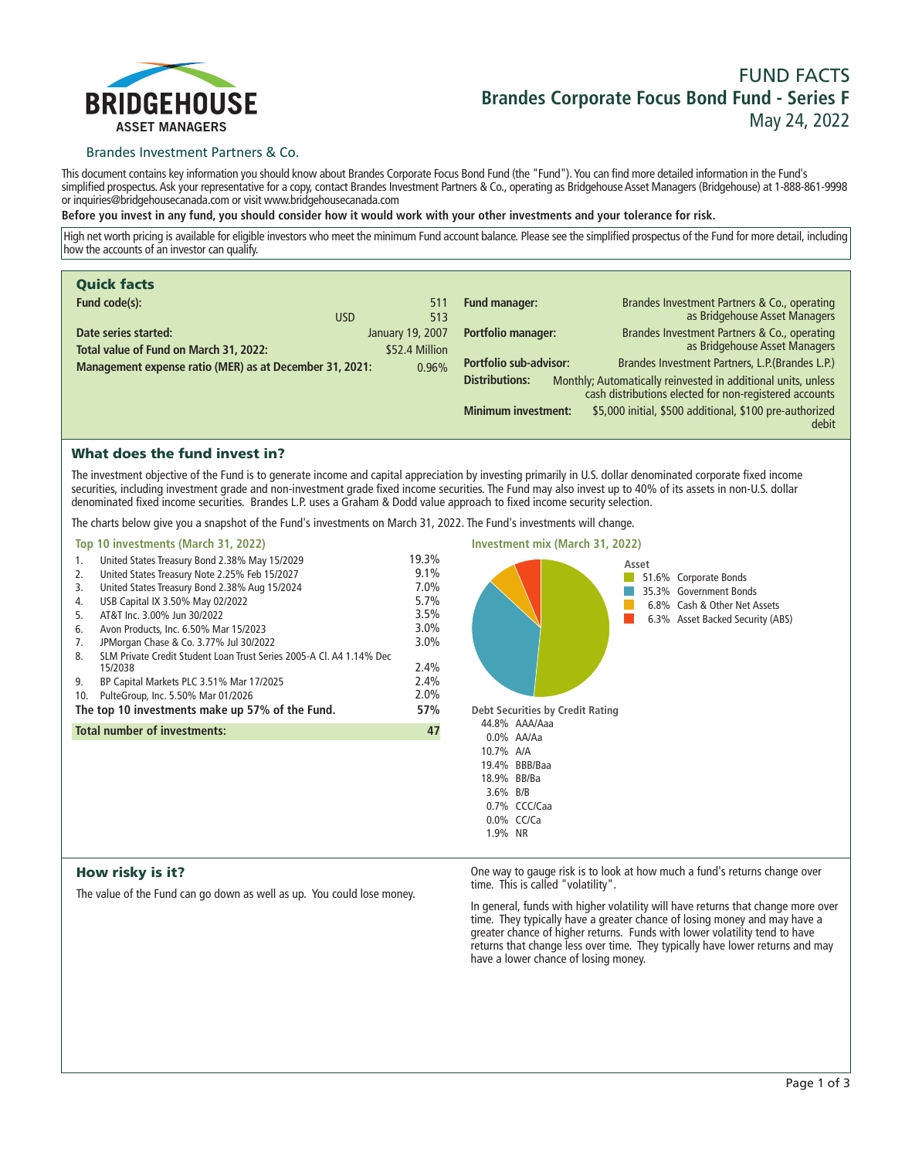

# **FUND FACTS Brandes Corporate Focus Bond Fund - Series F May 24, 2022**

## Brandes Investment Partners & Co.

**This document contains key information you should know about Brandes Corporate Focus Bond Fund (the "Fund"). You can find more detailed information in the Fund's simplified prospectus. Ask your representative for a copy, contact Brandes Investment Partners & Co., operating as Bridgehouse Asset Managers (Bridgehouse) at 1-888-861-9998 or inquiries@bridgehousecanada.com or visit www.bridgehousecanada.com**

**Before you invest in any fund, you should consider how it would work with your other investments and your tolerance for risk.**

**High net worth pricing is available for eligible investors who meet the minimum Fund account balance. Please see the simplified prospectus of the Fund for more detail, including how the accounts of an investor can qualify.**

| <b>Quick facts</b>                                                                                   |                                                                                                                                                  |
|------------------------------------------------------------------------------------------------------|--------------------------------------------------------------------------------------------------------------------------------------------------|
| Fund code(s):<br>511<br><b>USD</b><br>513                                                            | <b>Fund manager:</b><br>Brandes Investment Partners & Co., operating<br>as Bridgehouse Asset Managers                                            |
| Date series started:<br>January 19, 2007<br>Total value of Fund on March 31, 2022:<br>\$52.4 Million | <b>Portfolio manager:</b><br>Brandes Investment Partners & Co., operating<br>as Bridgehouse Asset Managers                                       |
| Management expense ratio (MER) as at December 31, 2021:<br>0.96%                                     | <b>Portfolio sub-advisor:</b><br>Brandes Investment Partners, L.P. (Brandes L.P.)                                                                |
|                                                                                                      | Monthly; Automatically reinvested in additional units, unless<br><b>Distributions:</b><br>cash distributions elected for non-registered accounts |
|                                                                                                      | \$5,000 initial, \$500 additional, \$100 pre-authorized<br><b>Minimum investment:</b><br>debit                                                   |

# What does the fund invest in?

**The investment objective of the Fund is to generate income and capital appreciation by investing primarily in U.S. dollar denominated corporate fixed income securities, including investment grade and non-investment grade fixed income securities. The Fund may also invest up to 40% of its assets in non-U.S. dollar denominated fixed income securities. Brandes L.P. uses a Graham & Dodd value approach to fixed income security selection.**

**The charts below give you a snapshot of the Fund's investments on March 31, 2022. The Fund's investments will change.**

| Top 10 investments (March 31, 2022)                                       |         |
|---------------------------------------------------------------------------|---------|
| United States Treasury Bond 2.38% May 15/2029<br>1.                       | 19.3%   |
| United States Treasury Note 2.25% Feb 15/2027<br>2.                       | $9.1\%$ |
| United States Treasury Bond 2.38% Aug 15/2024<br>3.                       | $7.0\%$ |
| USB Capital IX 3.50% May 02/2022<br>4.                                    | 5.7%    |
| AT&T Inc. 3.00% Jun 30/2022<br>5.                                         | 3.5%    |
| Avon Products, Inc. 6.50% Mar 15/2023<br>6.                               | 3.0%    |
| JPMorgan Chase & Co. 3.77% Jul 30/2022<br>7.                              | $3.0\%$ |
| SLM Private Credit Student Loan Trust Series 2005-A CL A4 1.14% Dec<br>8. |         |
| 15/2038                                                                   | 2.4%    |
| BP Capital Markets PLC 3.51% Mar 17/2025<br>9.                            | 2.4%    |
| PulteGroup, Inc. 5.50% Mar 01/2026<br>10.                                 | 2.0%    |
| The top 10 investments make up 57% of the Fund.                           | 57%     |
| <b>Total number of investments:</b>                                       | 47      |
|                                                                           |         |
|                                                                           |         |
|                                                                           |         |
|                                                                           |         |
|                                                                           |         |



# How risky is it?

**The value of the Fund can go down as well as up. You could lose money.**

**One way to gauge risk is to look at how much a fund's returns change over time. This is called "volatility".**

**In general, funds with higher volatility will have returns that change more over time. They typically have a greater chance of losing money and may have a greater chance of higher returns. Funds with lower volatility tend to have returns that change less over time. They typically have lower returns and may have a lower chance of losing money.**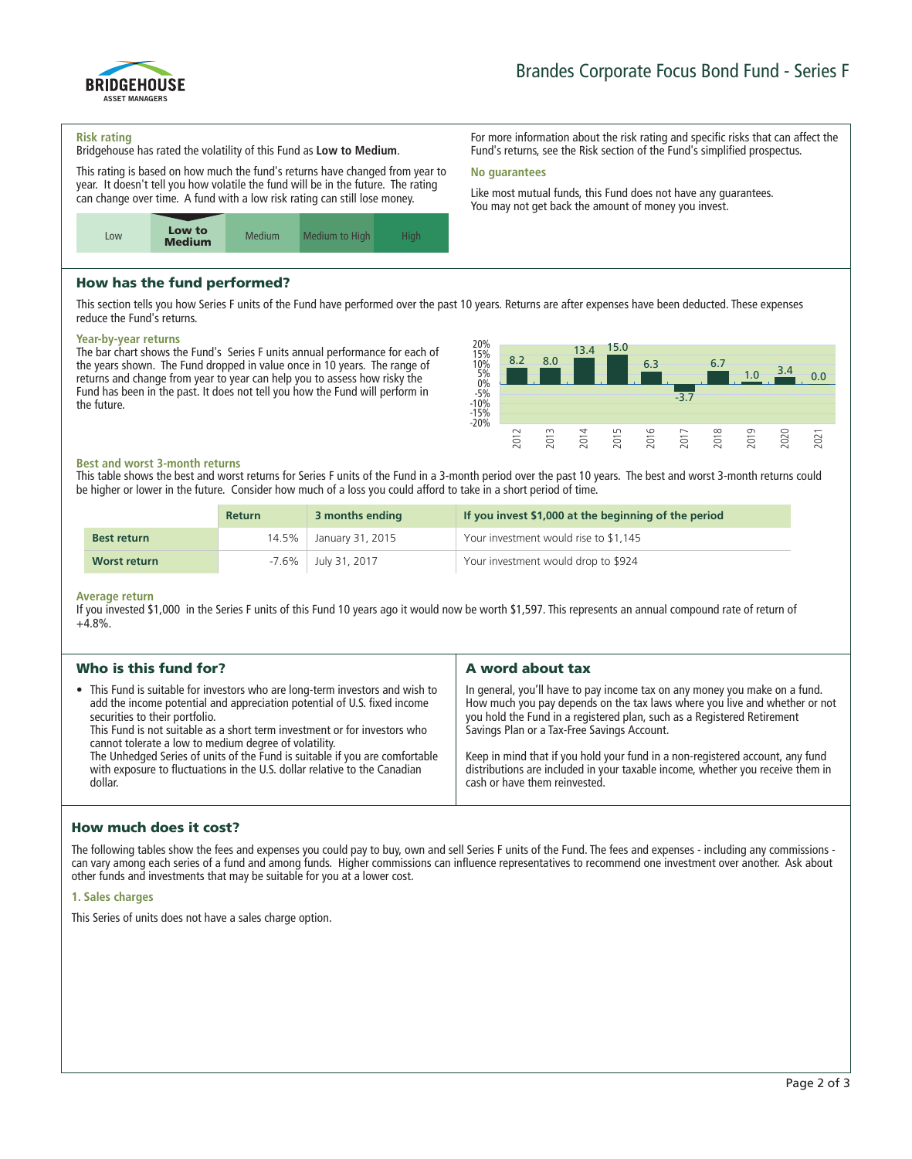

**For more information about the risk rating and specific risks that can affect the Fund's returns, see the Risk section of the Fund's simplified prospectus.**

**Like most mutual funds, this Fund does not have any guarantees. You may not get back the amount of money you invest.**

#### **Risk rating**

**Bridgehouse has rated the volatility of this Fund as Low to Medium.**

**This rating is based on how much the fund's returns have changed from year to year. It doesn't tell you how volatile the fund will be in the future. The rating can change over time. A fund with a low risk rating can still lose money.**



# How has the fund performed?

**This section tells you how Series F units of the Fund have performed over the past 10 years. Returns are after expenses have been deducted. These expenses reduce the Fund's returns.**

**No guarantees**

#### **Year-by-year returns**

**The bar chart shows the Fund's Series F units annual performance for each of the years shown. The Fund dropped in value once in 10 years. The range of returns and change from year to year can help you to assess how risky the Fund has been in the past. It does not tell you how the Fund will perform in the future.**



#### **Best and worst 3-month returns**

**This table shows the best and worst returns for Series F units of the Fund in a 3-month period over the past 10 years. The best and worst 3-month returns could be higher or lower in the future. Consider how much of a loss you could afford to take in a short period of time.**

|                    | <b>Return</b> | 3 months ending     | If you invest \$1,000 at the beginning of the period |
|--------------------|---------------|---------------------|------------------------------------------------------|
| <b>Best return</b> | 14.5%         | January 31, 2015    | Your investment would rise to \$1,145                |
| Worst return       |               | -7.6% July 31, 2017 | Your investment would drop to \$924                  |

#### **Average return**

**If you invested \$1,000 in the Series F units of this Fund 10 years ago it would now be worth \$1,597. This represents an annual compound rate of return of +4.8%.**

| Who is this fund for?<br>A word about tax<br>• This Fund is suitable for investors who are long-term investors and wish to<br>In general, you'll have to pay income tax on any money you make on a fund.                                                                                                                                                                                                                                                                                                                                                                                                                                                                  |                                                                          |                                                                            |
|---------------------------------------------------------------------------------------------------------------------------------------------------------------------------------------------------------------------------------------------------------------------------------------------------------------------------------------------------------------------------------------------------------------------------------------------------------------------------------------------------------------------------------------------------------------------------------------------------------------------------------------------------------------------------|--------------------------------------------------------------------------|----------------------------------------------------------------------------|
|                                                                                                                                                                                                                                                                                                                                                                                                                                                                                                                                                                                                                                                                           |                                                                          |                                                                            |
| you hold the Fund in a registered plan, such as a Registered Retirement<br>securities to their portfolio.<br>This Fund is not suitable as a short term investment or for investors who<br>Savings Plan or a Tax-Free Savings Account.<br>cannot tolerate a low to medium degree of volatility.<br>The Unhedged Series of units of the Fund is suitable if you are comfortable<br>Keep in mind that if you hold your fund in a non-registered account, any fund<br>with exposure to fluctuations in the U.S. dollar relative to the Canadian<br>distributions are included in your taxable income, whether you receive them in<br>cash or have them reinvested.<br>dollar. | add the income potential and appreciation potential of U.S. fixed income | How much you pay depends on the tax laws where you live and whether or not |

# How much does it cost?

**The following tables show the fees and expenses you could pay to buy, own and sell Series F units of the Fund. The fees and expenses - including any commissions can vary among each series of a fund and among funds. Higher commissions can influence representatives to recommend one investment over another. Ask about other funds and investments that may be suitable for you at a lower cost.**

#### **1. Sales charges**

**This Series of units does not have a sales charge option.**